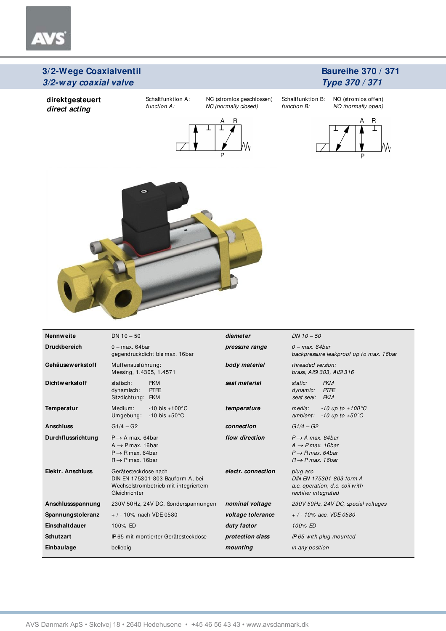### **Baureihe 370 / 371 Type 370 / 371**

**direktgesteuert direct acting** 

 $\bar{\tau}$ 

function A: NC (normally closed)

Schaltfunktion A: NC (stromlos geschlossen)



Schaltfunktion B: NO (stromlos offen) function B: NO (normally open)





| <b>Nennweite</b>    | $DN 10 - 50$                                                                                                                  | diameter           | $DN 10 - 50$                                                                                                                   |  |  |  |  |
|---------------------|-------------------------------------------------------------------------------------------------------------------------------|--------------------|--------------------------------------------------------------------------------------------------------------------------------|--|--|--|--|
| <b>Druckbereich</b> | $0 - max. 64$ bar<br>gegendruckdicht bis max. 16bar                                                                           | pressure range     | $0$ – max. 64bar<br>backpressure leakproof up to max. 16bar                                                                    |  |  |  |  |
| Gehäusewerkstoff    | Muffenausführung:<br>Messing, 1.4305, 1.4571                                                                                  | body material      | threaded version:<br>brass, AISI 303, AISI 316                                                                                 |  |  |  |  |
| Dichtwerkstoff      | <b>FKM</b><br>statisch:<br><b>PTFE</b><br>dynamisch:<br>Sitzdichtung: FKM                                                     | seal material      | <b>FKM</b><br>static:<br><b>PTFE</b><br>dynamic:<br>seat seal:<br><b>FKM</b>                                                   |  |  |  |  |
| Temperatur          | Medium:<br>$-10$ bis $+100^{\circ}$ C<br>Umgebung:<br>$-10$ bis $+50^{\circ}$ C                                               | temperature        | $-10$ up to $+100^{\circ}$ C<br>media:<br>$-10$ up to $+50^{\circ}$ C<br>ambient:                                              |  |  |  |  |
| <b>Anschluss</b>    | $G1/4 - G2$                                                                                                                   | connection         | $G1/4 - G2$                                                                                                                    |  |  |  |  |
| Durchflussrichtung  | $P \rightarrow A$ max. 64bar<br>$A \rightarrow P$ max. 16 bar<br>$P \rightarrow R$ max. 64bar<br>$R \rightarrow P$ max. 16bar | flow direction     | $P \rightarrow A$ max. 64bar<br>$A \rightarrow P$ max. 16 bar<br>$P \rightarrow R$ max, 64 bar<br>$R \rightarrow P$ max. 16bar |  |  |  |  |
| Elektr. Anschluss   | Gerätesteckdose nach<br>DIN EN 175301-803 Bauform A, bei<br>Wechselstrombetrieb mit integriertem<br>Gleichrichter             | electr. connection | plug acc.<br>DIN EN 175301-803 form A<br>a.c. operation, d.c. coil with<br>rectifier integrated                                |  |  |  |  |
| Anschlussspannung   | 230V 50Hz, 24V DC, Sonderspannungen                                                                                           | nominal voltage    | 230V 50Hz, 24V DC, special voltages                                                                                            |  |  |  |  |
| Spannungstoleranz   | $+$ / - 10% nach VDE 0580                                                                                                     | voltage tolerance  | $+$ / - 10% acc. VDE 0580                                                                                                      |  |  |  |  |
| Einschaltdauer      | 100% ED                                                                                                                       | duty factor        | 100% ED                                                                                                                        |  |  |  |  |
| <b>Schutzart</b>    | IP 65 mit montierter Gerätesteckdose                                                                                          | protection class   | IP65 with plug mounted                                                                                                         |  |  |  |  |
| Einbaulage          | beliebig                                                                                                                      | mounting           | in any position                                                                                                                |  |  |  |  |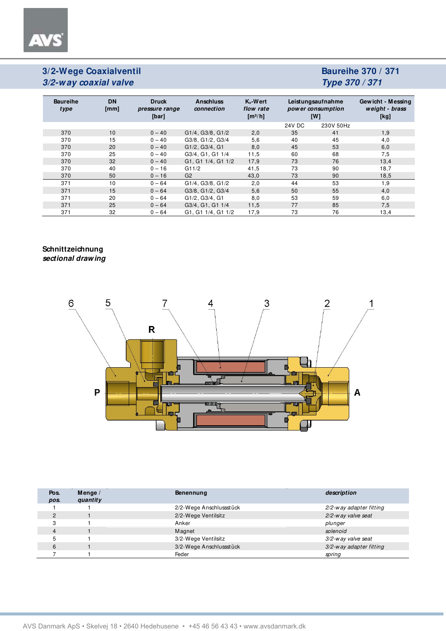**AVS** 

# **Baureihe 370 / 371 Type 370 / 371**

| <b>Baureihe</b><br>type | <b>DN</b><br>[mm] | <b>Druck</b><br>pressure range<br>[bar] | <b>Anschluss</b><br>connection | $K_v-W$ ert<br>flow rate<br>$\left[\frac{m^3}{h}\right]$ | Leistungsaufnahme<br>power consumption<br>[W] |           | Gewicht - Messing<br>weight - brass<br>[kg] |  |
|-------------------------|-------------------|-----------------------------------------|--------------------------------|----------------------------------------------------------|-----------------------------------------------|-----------|---------------------------------------------|--|
|                         |                   |                                         |                                |                                                          | 24V DC                                        | 230V 50Hz |                                             |  |
| 370                     | 10                | $0 - 40$                                | G1/4, G3/8, G1/2               | 2,0                                                      | 35                                            | 41        | 1,9                                         |  |
| 370                     | 15                | $0 - 40$                                | G3/8, G1/2, G3/4               | 5,6                                                      | 40                                            | 45        | 4,0                                         |  |
| 370                     | 20                | $0 - 40$                                | G1/2, G3/4, G1                 | 8,0                                                      | 45                                            | 53        | 6,0                                         |  |
| 370                     | 25                | $0 - 40$                                | G3/4, G1, G1 1/4               | 11,5                                                     | 60                                            | 68        | 7,5                                         |  |
| 370                     | 32                | $0 - 40$                                | G1, G1 1/4, G1 1/2             | 17,9                                                     | 73                                            | 76        | 13,4                                        |  |
| 370                     | 40                | $0 - 16$                                | G11/2                          | 41,5                                                     | 73                                            | 90        | 18,7                                        |  |
| 370                     | 50                | $0 - 16$                                | G <sub>2</sub>                 | 43,0                                                     | 73                                            | 90        | 18,5                                        |  |
| 371                     | 10                | $0 - 64$                                | G1/4, G3/8, G1/2               | 2,0                                                      | 44                                            | 53        | 1,9                                         |  |
| 371                     | 15                | $0 - 64$                                | G3/8, G1/2, G3/4               | 5,6                                                      | 50                                            | 55        | 4,0                                         |  |
| 371                     | 20                | $0 - 64$                                | G1/2, G3/4, G1                 | 8,0                                                      | 53                                            | 59        | 6,0                                         |  |
| 371                     | 25                | $0 - 64$                                | G3/4, G1, G1 1/4               | 11,5                                                     | 77                                            | 85        | 7,5                                         |  |
| 371                     | 32                | $0 - 64$                                | G1, G1 1/4, G1 1/2             | 17,9                                                     | 73                                            | 76        | 13,4                                        |  |

#### **Schnittzeichnung sectional drawing**



| Pos.<br>pos. | Menge $/$<br>quantity | <b>Benennung</b>        | description             |
|--------------|-----------------------|-------------------------|-------------------------|
|              |                       | 2/2-Wege Anschlussstück | 2/2-way adapter fitting |
| 2            |                       | 2/2-Wege Ventilsitz     | 2/2-way valve seat      |
| 3            |                       | Anker                   | plunger                 |
|              |                       | Magnet                  | solenoid                |
|              |                       | 3/2-Wege Ventilsitz     | 3/2-way valve seat      |
|              |                       | 3/2-Wege Anschlussstück | 3/2-way adapter fitting |
|              |                       | Feder                   | spring                  |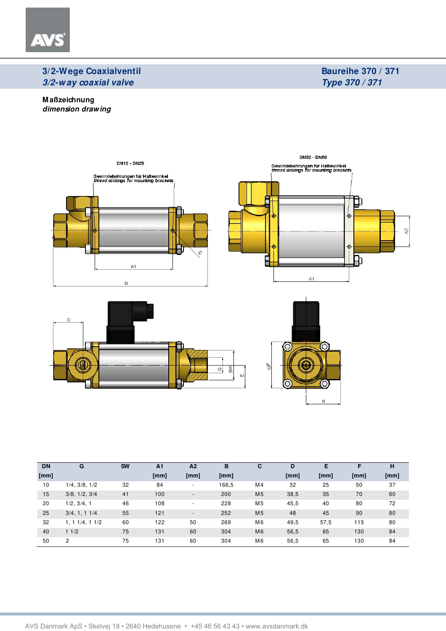

## **Baureihe 370 / 371 Type 370 / 371**

**M aßzeichnung dimension drawing** 







| <b>DN</b> | G             | <b>SW</b> | A1   | A <sub>2</sub>           | в     | С              | D    | Е    |      | н    |
|-----------|---------------|-----------|------|--------------------------|-------|----------------|------|------|------|------|
| [mm]      |               |           | [mm] | [mm]                     | [mm]  |                | [mm] | [mm] | [mm] | [mm] |
| 10        | 1/4, 3/8, 1/2 | 32        | 84   | $\overline{a}$           | 166,5 | M4             | 32   | 25   | 50   | 37   |
| 15        | 3/8, 1/2, 3/4 | 41        | 100  | $\overline{\phantom{a}}$ | 200   | M <sub>5</sub> | 38,5 | 35   | 70   | 60   |
| 20        | 1/2, 3/4, 1   | 46        | 108  | $\overline{\phantom{0}}$ | 228   | M <sub>5</sub> | 45,5 | 40   | 80   | 72   |
| 25        | 3/4, 1, 11/4  | 55        | 121  | $\blacksquare$           | 252   | M <sub>5</sub> | 48   | 45   | 90   | 80   |
| 32        | 1, 11/4, 11/2 | 60        | 122  | 50                       | 269   | M <sub>6</sub> | 49,5 | 57,5 | 115  | 80   |
| 40        | 11/2          | 75        | 131  | 60                       | 304   | M <sub>6</sub> | 56,5 | 65   | 130  | 84   |
| 50        | 2             | 75        | 131  | 60                       | 304   | M <sub>6</sub> | 56,5 | 65   | 130  | 84   |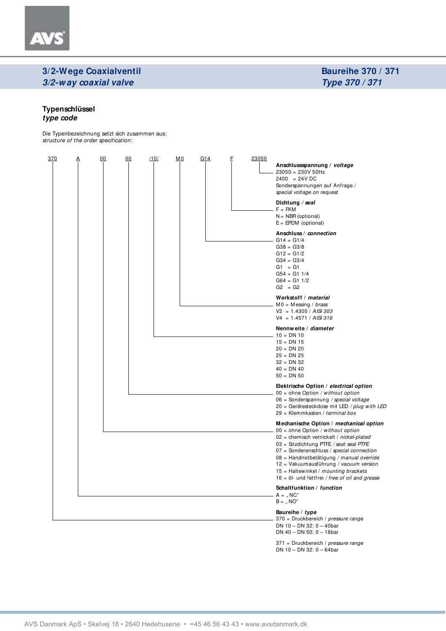## **Baureihe 370 / 371 Type 370 / 371**

#### **Typenschlüssel type code**

AV

Die Typenbezeichnung setzt sich zusammen aus: structure of the order specification:

| 370 | <u>A</u> |  |  |  |  |  |  |  | Anschlussspannung / voltage<br>$23050 = 230V 50Hz$<br>$2400 = 24V$ DC<br>Sonderspannungen auf Anfrage /<br>special voltage on request<br>Dichtung / seal<br>$F = FKM$<br>$N = NBR$ (optional)<br>$E = E PDM$ (optional)<br>Anschluss / connection<br>$G14 = G1/4$<br>$G38 = G3/8$<br>$G12 = G1/2$<br>$G34 = G3/4$<br>$G1 = G1$<br>$G54 = G11/4$<br>$G64 = G11/2$<br>$G2 = G2$<br>Werkstoff / material<br>$MO = M$ essing / <i>brass</i><br>$V2 = 1.4305 / AISI 303$<br>$V4 = 1.4571 / AISI 316$<br>Nennweite / diameter<br>$10 = DN 10$<br>$15 = DN 15$<br>$20 = DN 20$<br>$25 = DN 25$<br>$32 = DN 32$ |  |  |  |  |
|-----|----------|--|--|--|--|--|--|--|---------------------------------------------------------------------------------------------------------------------------------------------------------------------------------------------------------------------------------------------------------------------------------------------------------------------------------------------------------------------------------------------------------------------------------------------------------------------------------------------------------------------------------------------------------------------------------------------------------|--|--|--|--|
|     |          |  |  |  |  |  |  |  | $40 = DN 40$<br>$50 = DN 50$<br>Elektrische Option / electrical option<br>$00 =$ ohne Option / without option<br>$06 =$ Sonderspannung / special voltage                                                                                                                                                                                                                                                                                                                                                                                                                                                |  |  |  |  |
|     |          |  |  |  |  |  |  |  | 20 = Gerätesteckdose mit LED / plug with LED<br>29 = Klemmkasten / terminal box<br>Mechanische Option / mechanical option<br>$00 =$ ohne Option / without option<br>$02$ = chemisch vernickelt / nickel-plated<br>$03 =$ Sitzdichtung PTFE / seat seal PTFE<br>$07 =$ Sonderanschluss / special connection<br>08 = Handnotbetätigung / manual override<br>12 = Vakuumausführung / vacuum version<br>$15$ = Haltewinkel / mounting brackets<br>$16 = 0$ - und fettfrei / free of oil and grease                                                                                                          |  |  |  |  |
|     |          |  |  |  |  |  |  |  | Schaltfunktion / function<br>$A =$ , NC"<br>$B =$ , NO"                                                                                                                                                                                                                                                                                                                                                                                                                                                                                                                                                 |  |  |  |  |
|     |          |  |  |  |  |  |  |  | Baureihe / type<br>370 = Druckbereich / pressure range<br>DN 10 - DN 32: $0 - 40$ bar<br>DN 40 - DN 50: 0 - 16bar                                                                                                                                                                                                                                                                                                                                                                                                                                                                                       |  |  |  |  |

371 = Druckbereich / *pressure range* DN 10 – DN 32: 0 – 64bar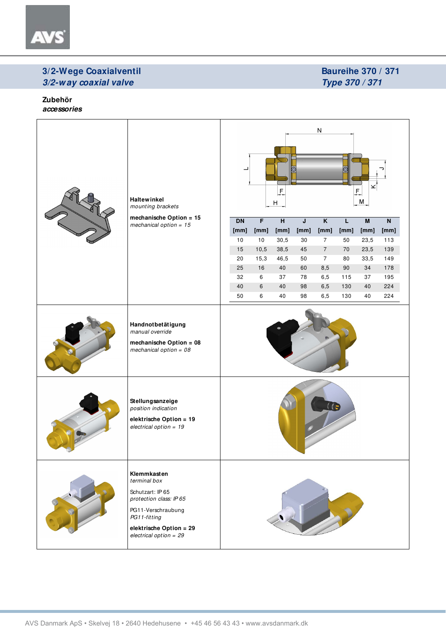

## **Baureihe 370 / 371 Type 370 / 371**

**Zubehör accessories** 

| <b>Haltewinkel</b><br>mounting brackets                                                                                                                                 | ${\sf N}$<br>$\overline{\phantom{a}}$<br>⊚<br>×<br>$\mathsf F$<br>E<br>M<br>$\boldsymbol{\mathsf{H}}$ |                |                |      |                         |                |                         |      |
|-------------------------------------------------------------------------------------------------------------------------------------------------------------------------|-------------------------------------------------------------------------------------------------------|----------------|----------------|------|-------------------------|----------------|-------------------------|------|
| mechanische Option = 15<br>mechanical option = $15$                                                                                                                     | <b>DN</b>                                                                                             | $\overline{F}$ | $\overline{H}$ | J    | $\overline{\mathsf{K}}$ | $\overline{L}$ | $\overline{\mathsf{M}}$ | N    |
|                                                                                                                                                                         | [mm]                                                                                                  | [mm]           | [mm]           | [mm] | [mm]                    | [mm]           | [mm]                    | [mm] |
|                                                                                                                                                                         | 10                                                                                                    | 10             | 30,5           | 30   | $\overline{7}$          | 50             | 23,5                    | 113  |
|                                                                                                                                                                         | 15                                                                                                    | 10,5           | 38,5           | 45   | $\overline{7}$          | $70\,$         | 23,5                    | 139  |
|                                                                                                                                                                         | 20                                                                                                    | 15,3           | 46,5           | 50   | $\overline{7}$          | 80             | 33,5                    | 149  |
|                                                                                                                                                                         | 25                                                                                                    | 16             | 40             | 60   | 8,5                     | 90             | 34                      | 178  |
|                                                                                                                                                                         | 32                                                                                                    | 6              | 37             | 78   | 6,5                     | 115            | 37                      | 195  |
|                                                                                                                                                                         | 40                                                                                                    | $6\phantom{1}$ | 40             | 98   | $_{6,5}$                | 130            | 40                      | 224  |
|                                                                                                                                                                         | 50                                                                                                    | 6              | 40             | 98   | 6,5                     | 130            | 40                      | 224  |
| Handnotbetätigung<br>manual override<br>mechanische Option = $08$<br>mechanical option = $08$                                                                           |                                                                                                       |                |                |      |                         |                |                         |      |
| Stellungsanzeige<br>position indication<br>elektrische Option = 19<br>electrical option = $19$                                                                          |                                                                                                       |                |                |      |                         |                |                         |      |
| Klemmkasten<br>terminal box<br>Schutzart: IP 65<br>protection class: IP 65<br>PG11-Verschraubung<br>PG11-fitting<br>elektrische Option = 29<br>electrical option = $29$ |                                                                                                       |                |                |      |                         |                |                         |      |